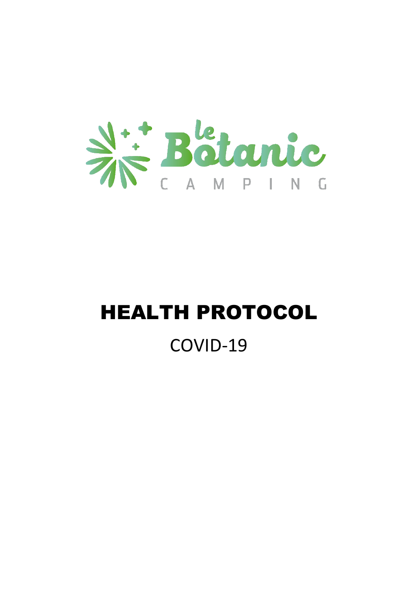

# HEALTH PROTOCOL COVID-19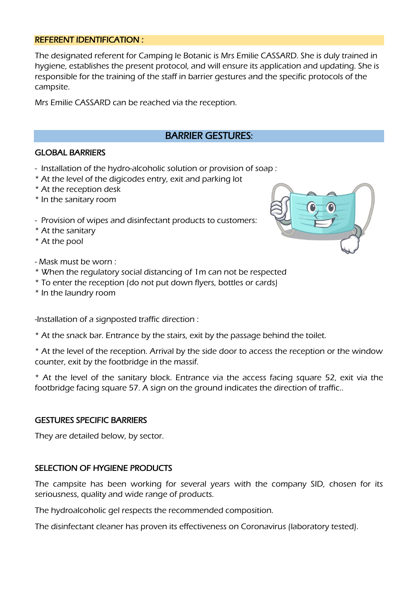#### REFERENT IDENTIFICATION :

The designated referent for Camping le Botanic is Mrs Emilie CASSARD. She is duly trained in hygiene, establishes the present protocol, and will ensure its application and updating. She is responsible for the training of the staff in barrier gestures and the specific protocols of the campsite.

Mrs Emilie CASSARD can be reached via the reception.

# BARRIER GESTURES:

#### GLOBAL BARRIERS

- Installation of the hydro-alcoholic solution or provision of soap :
- \* At the level of the digicodes entry, exit and parking lot
- \* At the reception desk
- \* In the sanitary room
- Provision of wipes and disinfectant products to customers:
- \* At the sanitary
- \* At the pool

- Mask must be worn :

- \* When the regulatory social distancing of 1m can not be respected
- \* To enter the reception (do not put down flyers, bottles or cards)
- \* In the laundry room

-Installation of a signposted traffic direction :

\* At the snack bar. Entrance by the stairs, exit by the passage behind the toilet.

\* At the level of the reception. Arrival by the side door to access the reception or the window counter, exit by the footbridge in the massif.

\* At the level of the sanitary block. Entrance via the access facing square 52, exit via the footbridge facing square 57. A sign on the ground indicates the direction of traffic..

#### GESTURES SPECIFIC BARRIERS

They are detailed below, by sector.

#### SELECTION OF HYGIENE PRODUCTS

The campsite has been working for several years with the company SID, chosen for its seriousness, quality and wide range of products.

The hydroalcoholic gel respects the recommended composition.

The disinfectant cleaner has proven its effectiveness on Coronavirus (laboratory tested).

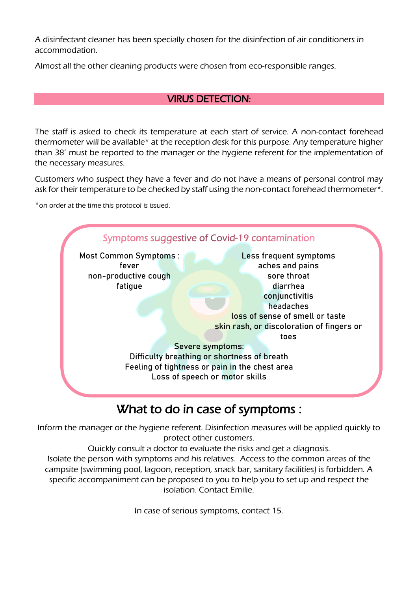A disinfectant cleaner has been specially chosen for the disinfection of air conditioners in accommodation.

Almost all the other cleaning products were chosen from eco-responsible ranges.

# VIRUS DETECTION:

The staff is asked to check its temperature at each start of service. A non-contact forehead thermometer will be available\* at the reception desk for this purpose. Any temperature higher than 38° must be reported to the manager or the hygiene referent for the implementation of the necessary measures.

Customers who suspect they have a fever and do not have a means of personal control may ask for their temperature to be checked by staff using the non-contact forehead thermometer\*.

\*on order at the time this protocol is issued.



# What to do in case of symptoms :

Inform the manager or the hygiene referent. Disinfection measures will be applied quickly to protect other customers.

Quickly consult a doctor to evaluate the risks and get a diagnosis. Isolate the person with symptoms and his relatives. Access to the common areas of the campsite (swimming pool, lagoon, reception, snack bar, sanitary facilities) is forbidden. A specific accompaniment can be proposed to you to help you to set up and respect the isolation. Contact Emilie.

In case of serious symptoms, contact 15.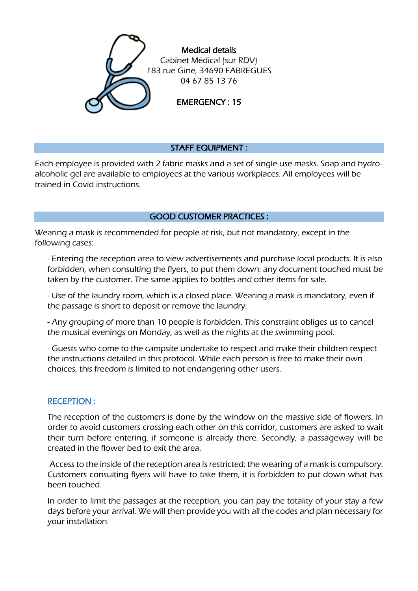

# STAFF EQUIPMENT :

Each employee is provided with 2 fabric masks and a set of single-use masks. Soap and hydroalcoholic gel are available to employees at the various workplaces. All employees will be trained in Covid instructions.

#### GOOD CUSTOMER PRACTICES :

Wearing a mask is recommended for people at risk, but not mandatory, except in the following cases:

- Entering the reception area to view advertisements and purchase local products. It is also forbidden, when consulting the flyers, to put them down: any document touched must be taken by the customer. The same applies to bottles and other items for sale.

- Use of the laundry room, which is a closed place. Wearing a mask is mandatory, even if the passage is short to deposit or remove the laundry.

- Any grouping of more than 10 people is forbidden. This constraint obliges us to cancel the musical evenings on Monday, as well as the nights at the swimming pool.

- Guests who come to the campsite undertake to respect and make their children respect the instructions detailed in this protocol. While each person is free to make their own choices, this freedom is limited to not endangering other users.

#### RECEPTION :

The reception of the customers is done by the window on the massive side of flowers. In order to avoid customers crossing each other on this corridor, customers are asked to wait their turn before entering, if someone is already there. Secondly, a passageway will be created in the flower bed to exit the area.

Access to the inside of the reception area is restricted: the wearing of a mask is compulsory. Customers consulting flyers will have to take them, it is forbidden to put down what has been touched.

In order to limit the passages at the reception, you can pay the totality of your stay a few days before your arrival. We will then provide you with all the codes and plan necessary for your installation.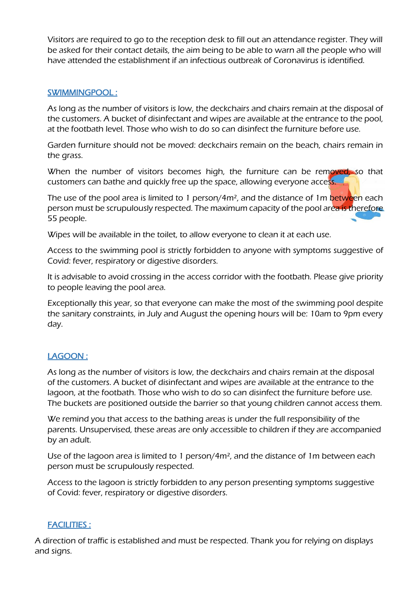Visitors are required to go to the reception desk to fill out an attendance register. They will be asked for their contact details, the aim being to be able to warn all the people who will have attended the establishment if an infectious outbreak of Coronavirus is identified.

### SWIMMINGPOOL :

As long as the number of visitors is low, the deckchairs and chairs remain at the disposal of the customers. A bucket of disinfectant and wipes are available at the entrance to the pool, at the footbath level. Those who wish to do so can disinfect the furniture before use.

Garden furniture should not be moved: deckchairs remain on the beach, chairs remain in the grass.

When the number of visitors becomes high, the furniture can be removed, so that customers can bathe and quickly free up the space, allowing everyone access.

The use of the pool area is limited to 1 person/4m<sup>2</sup>, and the distance of 1m between each person must be scrupulously respected. The maximum capacity of the pool area is therefore 55 people.

Wipes will be available in the toilet, to allow everyone to clean it at each use.

Access to the swimming pool is strictly forbidden to anyone with symptoms suggestive of Covid: fever, respiratory or digestive disorders.

It is advisable to avoid crossing in the access corridor with the footbath. Please give priority to people leaving the pool area.

Exceptionally this year, so that everyone can make the most of the swimming pool despite the sanitary constraints, in July and August the opening hours will be: 10am to 9pm every day.

# LAGOON :

As long as the number of visitors is low, the deckchairs and chairs remain at the disposal of the customers. A bucket of disinfectant and wipes are available at the entrance to the lagoon, at the footbath. Those who wish to do so can disinfect the furniture before use. The buckets are positioned outside the barrier so that young children cannot access them.

We remind you that access to the bathing areas is under the full responsibility of the parents. Unsupervised, these areas are only accessible to children if they are accompanied by an adult.

Use of the lagoon area is limited to 1 person/4m², and the distance of 1m between each person must be scrupulously respected.

Access to the lagoon is strictly forbidden to any person presenting symptoms suggestive of Covid: fever, respiratory or digestive disorders.

# FACILITIES :

A direction of traffic is established and must be respected. Thank you for relying on displays and signs.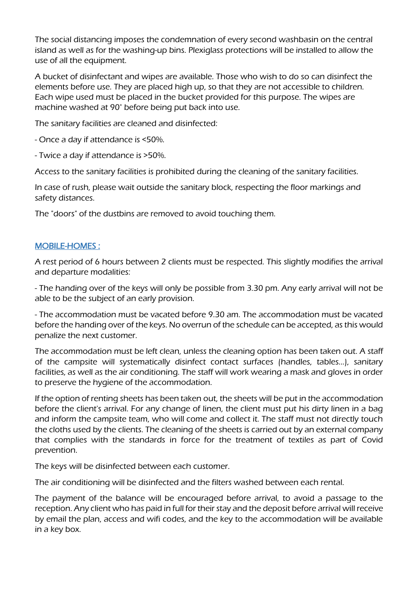The social distancing imposes the condemnation of every second washbasin on the central island as well as for the washing-up bins. Plexiglass protections will be installed to allow the use of all the equipment.

A bucket of disinfectant and wipes are available. Those who wish to do so can disinfect the elements before use. They are placed high up, so that they are not accessible to children. Each wipe used must be placed in the bucket provided for this purpose. The wipes are machine washed at 90° before being put back into use.

The sanitary facilities are cleaned and disinfected:

- Once a day if attendance is <50%.

- Twice a day if attendance is >50%.

Access to the sanitary facilities is prohibited during the cleaning of the sanitary facilities.

In case of rush, please wait outside the sanitary block, respecting the floor markings and safety distances.

The "doors" of the dustbins are removed to avoid touching them.

#### MOBILE-HOMES :

A rest period of 6 hours between 2 clients must be respected. This slightly modifies the arrival and departure modalities:

- The handing over of the keys will only be possible from 3.30 pm. Any early arrival will not be able to be the subject of an early provision.

- The accommodation must be vacated before 9.30 am. The accommodation must be vacated before the handing over of the keys. No overrun of the schedule can be accepted, as this would penalize the next customer.

The accommodation must be left clean, unless the cleaning option has been taken out. A staff of the campsite will systematically disinfect contact surfaces (handles, tables...), sanitary facilities, as well as the air conditioning. The staff will work wearing a mask and gloves in order to preserve the hygiene of the accommodation.

If the option of renting sheets has been taken out, the sheets will be put in the accommodation before the client's arrival. For any change of linen, the client must put his dirty linen in a bag and inform the campsite team, who will come and collect it. The staff must not directly touch the cloths used by the clients. The cleaning of the sheets is carried out by an external company that complies with the standards in force for the treatment of textiles as part of Covid prevention.

The keys will be disinfected between each customer.

The air conditioning will be disinfected and the filters washed between each rental.

The payment of the balance will be encouraged before arrival, to avoid a passage to the reception. Any client who has paid in full for their stay and the deposit before arrival will receive by email the plan, access and wifi codes, and the key to the accommodation will be available in a key box.